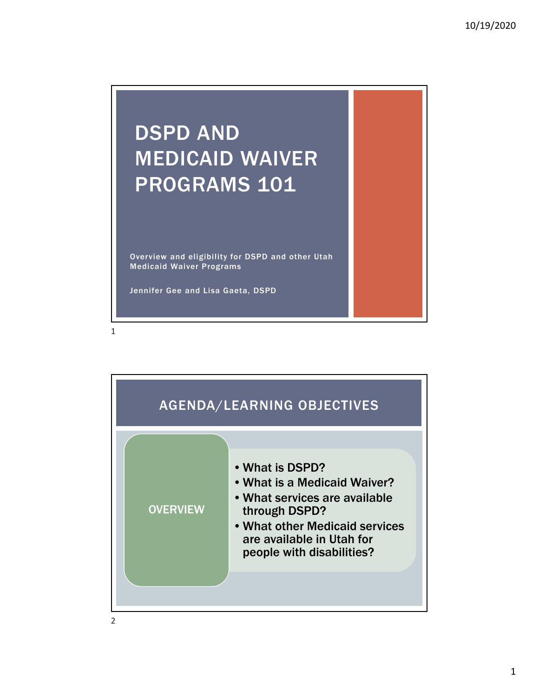# DSPD AND MEDICAID WAIVER PROGRAMS 101

Overview and eligibility for DSPD and other Utah Medicaid Waiver Programs

Jennifer Gee and Lisa Gaeta, DSPD



2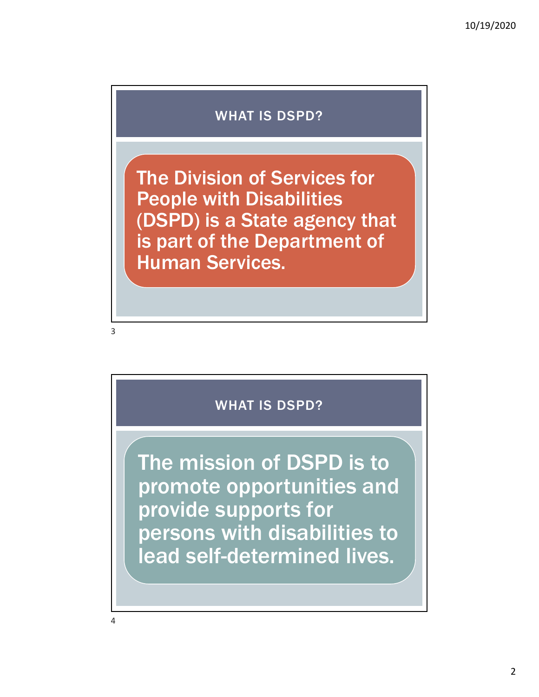#### WHAT IS DSPD?

The Division of Services for People with Disabilities (DSPD) is a State agency that is part of the Department of Human Services.

3

## WHAT IS DSPD?

The mission of DSPD is to promote opportunities and provide supports for persons with disabilities to lead self-determined lives.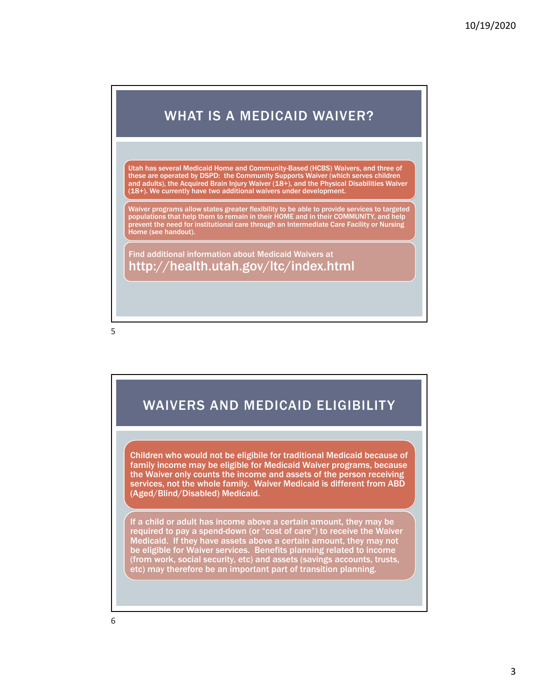#### WHAT IS A MEDICAID WAIVER?

Utah has several Medicaid Home and Community-Based (HCBS) Waivers, and three of these are operated by DSPD: the Community Supports Waiver (which serves children and adults), the Acquired Brain Injury Waiver (18+), and the Physical Disabilities Waiver (18+). We currently have two additional waivers under development.

Waiver programs allow states greater flexibility to be able to provide services to targeted populations that help them to remain in their HOME and in their COMMUNITY, and help .<br>prevent the need for institutional care through an Intermediate Care Facility or Nursing Home (see handout).

Find additional information about Medicaid Waivers at http://health.utah.gov/ltc/index.html

5

### WAIVERS AND MEDICAID ELIGIBILITY

Children who would not be eligibile for traditional Medicaid because of family income may be eligible for Medicaid Waiver programs, because the Waiver only counts the income and assets of the person receiving services, not the whole family. Waiver Medicaid is different from ABD (Aged/Blind/Disabled) Medicaid.

If a child or adult has income above a certain amount, they may be required to pay a spend-down (or "cost of care") to receive the Waiver Medicaid. If they have assets above a certain amount, they may not be eligible for Waiver services. Benefits planning related to income (from work, social security, etc) and assets (savings accounts, trusts, etc) may therefore be an important part of transition planning.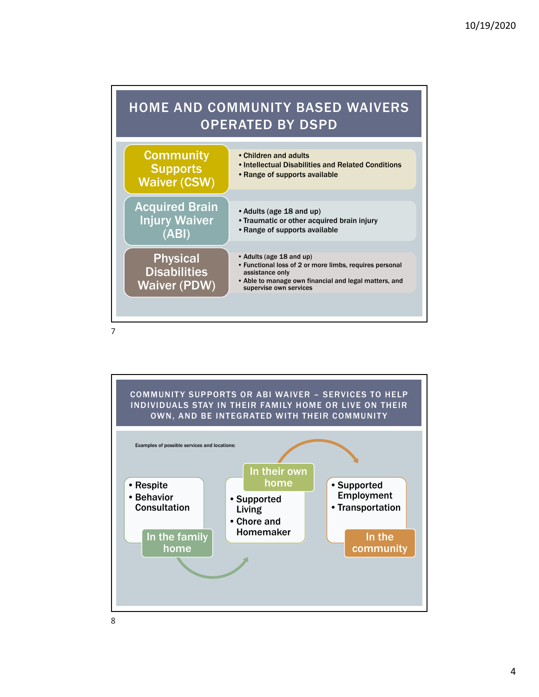

![](_page_3_Figure_2.jpeg)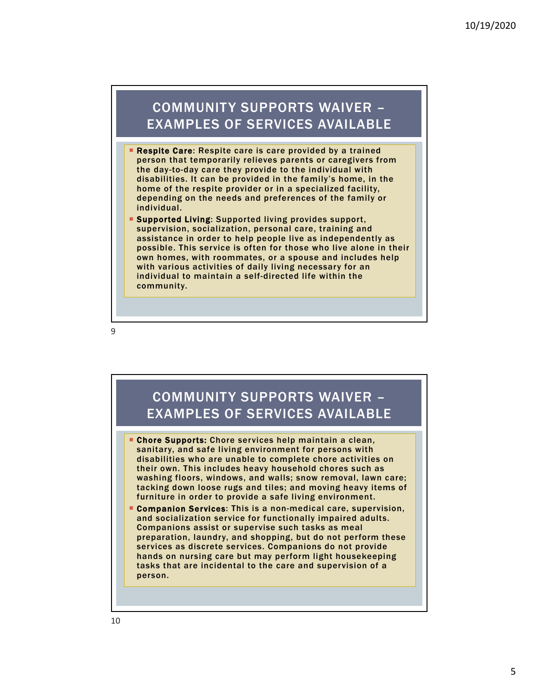#### COMMUNITY SUPPORTS WAIVER – EXAMPLES OF SERVICES AVAILABLE

- **Respite Care:** Respite care is care provided by a trained person that temporarily relieves parents or caregivers from the day-to-day care they provide to the individual with disabilities. It can be provided in the family's home, in the home of the respite provider or in a specialized facility, depending on the needs and preferences of the family or individual.
- **Supported Living: Supported living provides support,** supervision, socialization, personal care, training and assistance in order to help people live as independently as possible. This service is often for those who live alone in their own homes, with roommates, or a spouse and includes help with various activities of daily living necessary for an individual to maintain a self-directed life within the community.

9

#### **Chore Supports:** Chore services help maintain a clean, sanitary, and safe living environment for persons with disabilities who are unable to complete chore activities on their own. This includes heavy household chores such as washing floors, windows, and walls; snow removal, lawn care; tacking down loose rugs and tiles; and moving heavy items of furniture in order to provide a safe living environment. **Companion Services:** This is a non-medical care, supervision, and socialization service for functionally impaired adults. Companions assist or supervise such tasks as meal preparation, laundry, and shopping, but do not perform these services as discrete services. Companions do not provide hands on nursing care but may perform light housekeeping tasks that are incidental to the care and supervision of a person. COMMUNITY SUPPORTS WAIVER – EXAMPLES OF SERVICES AVAILABLE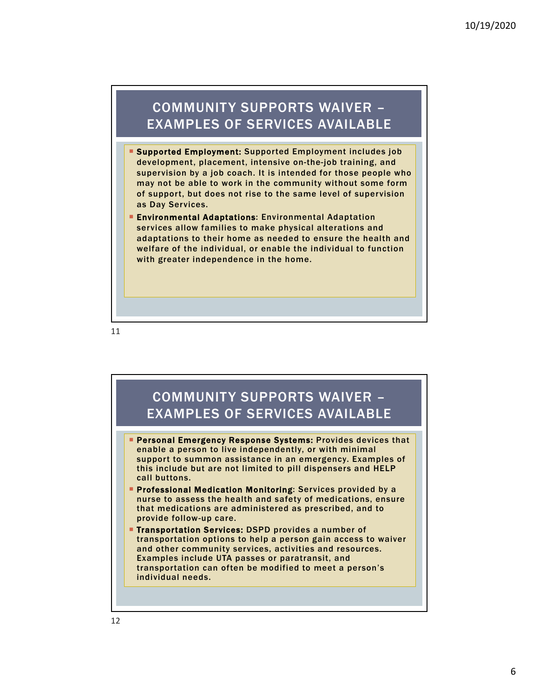#### COMMUNITY SUPPORTS WAIVER – EXAMPLES OF SERVICES AVAILABLE

- **Supported Employment: Supported Employment includes job** development, placement, intensive on-the-job training, and supervision by a job coach. It is intended for those people who may not be able to work in the community without some form of support, but does not rise to the same level of supervision as Day Services.
- **Environmental Adaptations: Environmental Adaptation** services allow families to make physical alterations and adaptations to their home as needed to ensure the health and welfare of the individual, or enable the individual to function with greater independence in the home.

![](_page_5_Figure_5.jpeg)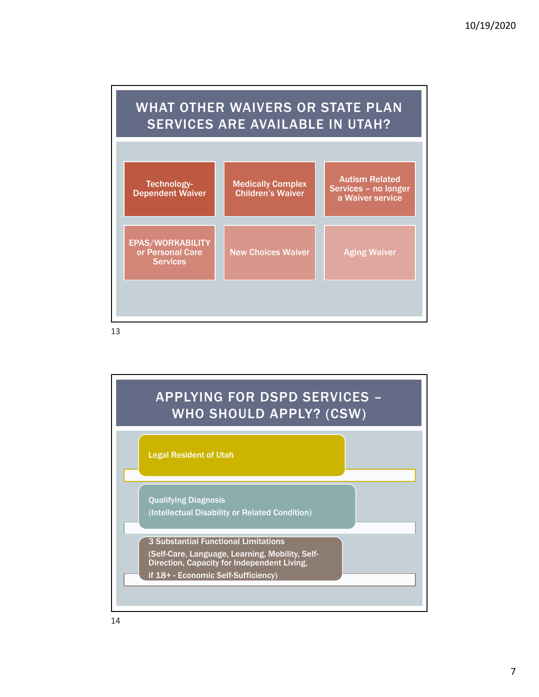![](_page_6_Figure_1.jpeg)

![](_page_6_Figure_3.jpeg)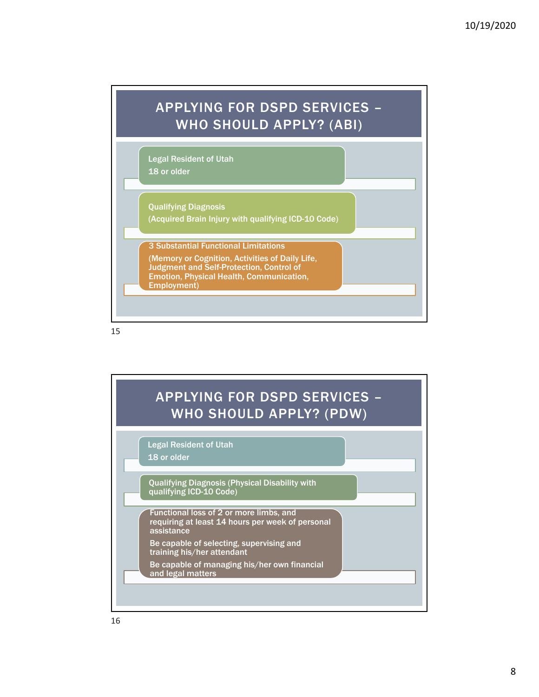![](_page_7_Figure_1.jpeg)

![](_page_7_Figure_3.jpeg)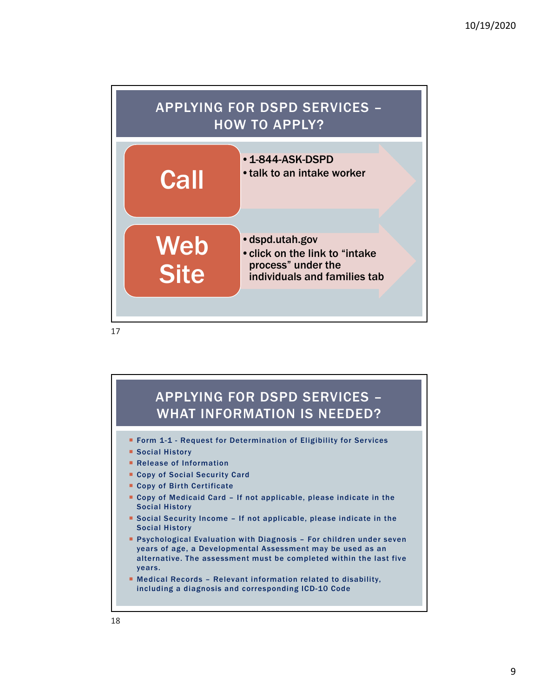![](_page_8_Figure_1.jpeg)

![](_page_8_Figure_3.jpeg)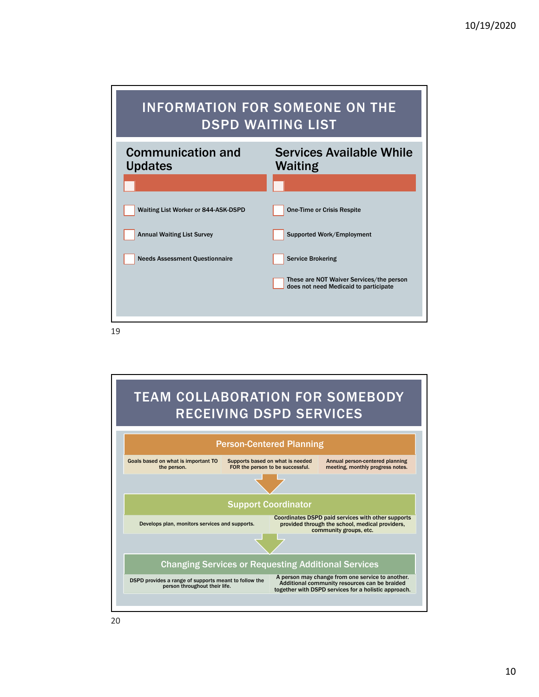![](_page_9_Figure_1.jpeg)

![](_page_9_Figure_3.jpeg)